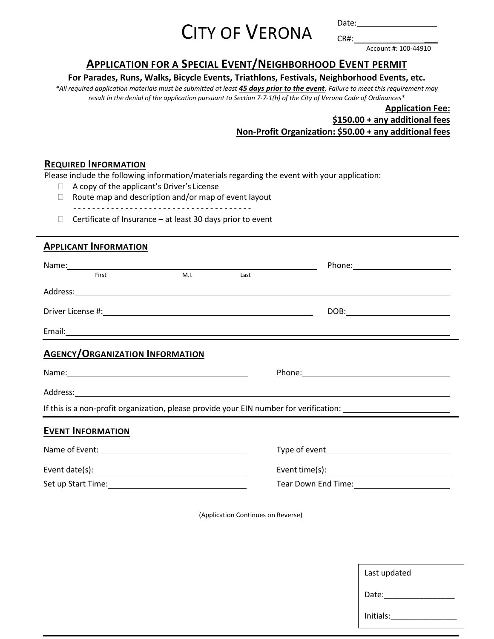# CITY OF VERONA

Date: CR#: \_\_\_

Account #: 100-44910

# **APPLICATION FOR A SPECIAL EVENT/NEIGHBORHOOD EVENT PERMIT**

## **For Parades, Runs, Walks, Bicycle Events, Triathlons, Festivals, Neighborhood Events, etc.**

*\*All required application materials must be submitted at least 45 days prior to the event. Failure to meet this requirement may result in the denial of the application pursuant to Section 7‐7‐1(h) of the City of Verona Code of Ordinances\** 

# **Application Fee: \$150.00 + any additional fees Non-Profit Organization: \$50.00 + any additional fees**

#### **REQUIRED INFORMATION**

Please include the following information/materials regarding the event with your application:

- □ A copy of the applicant's Driver's License
- $\Box$  Route map and description and/or map of event layout

- - - - - - - - - - - - - - - - - - - - - - - - - - - - - - - - - - - - - -

 $\Box$  Certificate of Insurance – at least 30 days prior to event

## **APPLICANT INFORMATION**

| M.I.<br>Last<br>First                                                                                                                                                                                                          |                                                                                                                                                                                                                                |
|--------------------------------------------------------------------------------------------------------------------------------------------------------------------------------------------------------------------------------|--------------------------------------------------------------------------------------------------------------------------------------------------------------------------------------------------------------------------------|
|                                                                                                                                                                                                                                |                                                                                                                                                                                                                                |
|                                                                                                                                                                                                                                |                                                                                                                                                                                                                                |
|                                                                                                                                                                                                                                |                                                                                                                                                                                                                                |
| <b>AGENCY/ORGANIZATION INFORMATION</b>                                                                                                                                                                                         |                                                                                                                                                                                                                                |
|                                                                                                                                                                                                                                |                                                                                                                                                                                                                                |
| Address: Andreas Address: Address: Address: Address: Address: Address: Address: Address: Address: Address: Address: Address: Address: Address: Address: Address: Address: Address: Address: Address: Address: Address: Address |                                                                                                                                                                                                                                |
|                                                                                                                                                                                                                                | If this is a non-profit organization, please provide your EIN number for verification: _______________________                                                                                                                 |
| <b>EVENT INFORMATION</b>                                                                                                                                                                                                       |                                                                                                                                                                                                                                |
|                                                                                                                                                                                                                                |                                                                                                                                                                                                                                |
| Event date(s): Notified that the set of the set of the set of the set of the set of the set of the set of the set of the set of the set of the set of the set of the set of the set of the set of the set of the set of the se | Event time(s): Notified that the set of the set of the set of the set of the set of the set of the set of the set of the set of the set of the set of the set of the set of the set of the set of the set of the set of the se |
|                                                                                                                                                                                                                                | Tear Down End Time: 1997 1998 1999                                                                                                                                                                                             |

(Application Continues on Reverse)

| Last updated |
|--------------|
| Date:        |
| Initials:    |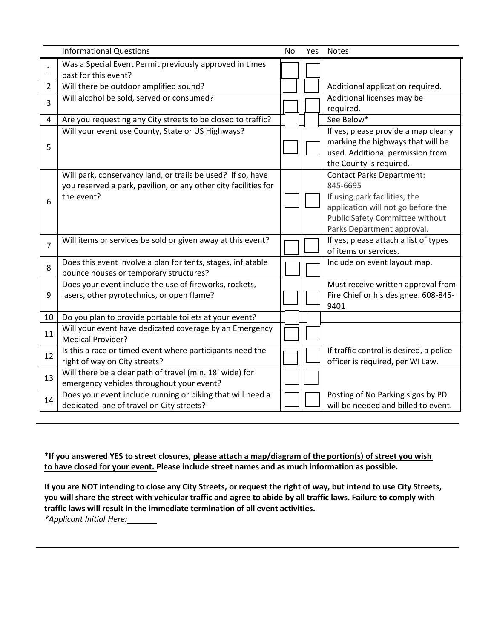|                | <b>Informational Questions</b>                                                                                                               | <b>No</b> | Yes | <b>Notes</b>                                                                                                                                                                         |
|----------------|----------------------------------------------------------------------------------------------------------------------------------------------|-----------|-----|--------------------------------------------------------------------------------------------------------------------------------------------------------------------------------------|
| $\mathbf{1}$   | Was a Special Event Permit previously approved in times<br>past for this event?                                                              |           |     |                                                                                                                                                                                      |
| $\overline{2}$ | Will there be outdoor amplified sound?                                                                                                       |           |     | Additional application required.                                                                                                                                                     |
| 3              | Will alcohol be sold, served or consumed?                                                                                                    |           |     | Additional licenses may be<br>required.                                                                                                                                              |
| 4              | Are you requesting any City streets to be closed to traffic?                                                                                 |           |     | See Below*                                                                                                                                                                           |
| 5              | Will your event use County, State or US Highways?                                                                                            |           |     | If yes, please provide a map clearly<br>marking the highways that will be<br>used. Additional permission from<br>the County is required.                                             |
| 6              | Will park, conservancy land, or trails be used? If so, have<br>you reserved a park, pavilion, or any other city facilities for<br>the event? |           |     | <b>Contact Parks Department:</b><br>845-6695<br>If using park facilities, the<br>application will not go before the<br>Public Safety Committee without<br>Parks Department approval. |
| $\overline{7}$ | Will items or services be sold or given away at this event?                                                                                  |           |     | If yes, please attach a list of types<br>of items or services.                                                                                                                       |
| 8              | Does this event involve a plan for tents, stages, inflatable<br>bounce houses or temporary structures?                                       |           |     | Include on event layout map.                                                                                                                                                         |
| 9              | Does your event include the use of fireworks, rockets,<br>lasers, other pyrotechnics, or open flame?                                         |           |     | Must receive written approval from<br>Fire Chief or his designee. 608-845-<br>9401                                                                                                   |
| 10             | Do you plan to provide portable toilets at your event?                                                                                       |           |     |                                                                                                                                                                                      |
| 11             | Will your event have dedicated coverage by an Emergency<br><b>Medical Provider?</b>                                                          |           |     |                                                                                                                                                                                      |
| 12             | Is this a race or timed event where participants need the<br>right of way on City streets?                                                   |           |     | If traffic control is desired, a police<br>officer is required, per WI Law.                                                                                                          |
| 13             | Will there be a clear path of travel (min. 18' wide) for<br>emergency vehicles throughout your event?                                        |           |     |                                                                                                                                                                                      |
| 14             | Does your event include running or biking that will need a<br>dedicated lane of travel on City streets?                                      |           |     | Posting of No Parking signs by PD<br>will be needed and billed to event.                                                                                                             |

**\*If you answered YES to street closures, please attach a map/diagram of the portion(s) of street you wish to have closed for your event. Please include street names and as much information as possible.** 

**If you are NOT intending to close any City Streets, or request the right of way, but intend to use City Streets, you will share the street with vehicular traffic and agree to abide by all traffic laws. Failure to comply with traffic laws will result in the immediate termination of all event activities.** 

*\*Applicant Initial Here:*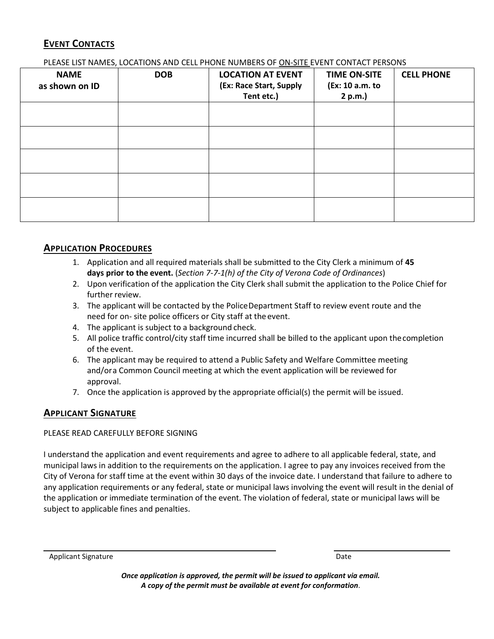# **EVENT CONTACTS**

#### PLEASE LIST NAMES, LOCATIONS AND CELL PHONE NUMBERS OF ON‐SITE EVENT CONTACT PERSONS

| <b>NAME</b><br>as shown on ID | <b>DOB</b> | <b>LOCATION AT EVENT</b><br>(Ex: Race Start, Supply<br>Tent etc.) | <b>TIME ON-SITE</b><br>(Ex: 10 a.m. to<br>2 p.m.) | <b>CELL PHONE</b> |
|-------------------------------|------------|-------------------------------------------------------------------|---------------------------------------------------|-------------------|
|                               |            |                                                                   |                                                   |                   |
|                               |            |                                                                   |                                                   |                   |
|                               |            |                                                                   |                                                   |                   |
|                               |            |                                                                   |                                                   |                   |
|                               |            |                                                                   |                                                   |                   |

## **APPLICATION PROCEDURES**

- 1. Application and all required materials shall be submitted to the City Clerk a minimum of **45 days prior to the event.** (*Section 7‐7‐1(h) of the City of Verona Code of Ordinances*)
- 2. Upon verification of the application the City Clerk shall submit the application to the Police Chief for further review.
- 3. The applicant will be contacted by the Police Department Staff to review event route and the need for on‐ site police officers or City staff at the event.
- 4. The applicant is subject to a background check.
- 5. All police traffic control/city staff time incurred shall be billed to the applicant upon the completion of the event.
- 6. The applicant may be required to attend a Public Safety and Welfare Committee meeting and/or a Common Council meeting at which the event application will be reviewed for approval.
- 7. Once the application is approved by the appropriate official(s) the permit will be issued.

## **APPLICANT SIGNATURE**

#### PLEASE READ CAREFULLY BEFORE SIGNING

I understand the application and event requirements and agree to adhere to all applicable federal, state, and municipal laws in addition to the requirements on the application. I agree to pay any invoices received from the City of Verona for staff time at the event within 30 days of the invoice date. I understand that failure to adhere to any application requirements or any federal, state or municipal laws involving the event will result in the denial of the application or immediate termination of the event. The violation of federal, state or municipal laws will be subject to applicable fines and penalties.

Applicant Signature Date Date of the Date of the Date of the Date of the Date of the Date of the Date of the Date of the Date of the Date of the Date of the Date of the Date of the Date of the Date of the Date of the Date

*Once application is approved, the permit will be issued to applicant via email. A copy of the permit must be available at event for conformation.*